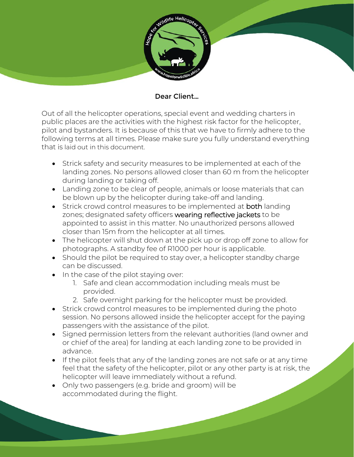

## Dear Client…

Out of all the helicopter operations, special event and wedding charters in public places are the activities with the highest risk factor for the helicopter, pilot and bystanders. It is because of this that we have to firmly adhere to the following terms at all times. Please make sure you fully understand everything that is laid out in this document.

- Strick safety and security measures to be implemented at each of the landing zones. No persons allowed closer than 60 m from the helicopter during landing or taking off.
- Landing zone to be clear of people, animals or loose materials that can be blown up by the helicopter during take-off and landing.
- Strick crowd control measures to be implemented at both landing zones; designated safety officers wearing reflective jackets to be appointed to assist in this matter. No unauthorized persons allowed closer than 15m from the helicopter at all times.
- The helicopter will shut down at the pick up or drop off zone to allow for photographs. A standby fee of R1000 per hour is applicable.
- Should the pilot be required to stay over, a helicopter standby charge can be discussed.
- In the case of the pilot staying over:
	- 1. Safe and clean accommodation including meals must be provided.
	- 2. Safe overnight parking for the helicopter must be provided.
- Strick crowd control measures to be implemented during the photo session. No persons allowed inside the helicopter accept for the paying passengers with the assistance of the pilot.
- Signed permission letters from the relevant authorities (land owner and or chief of the area) for landing at each landing zone to be provided in advance.
- If the pilot feels that any of the landing zones are not safe or at any time feel that the safety of the helicopter, pilot or any other party is at risk, the helicopter will leave immediately without a refund.
- Only two passengers (e.g. bride and groom) will be accommodated during the flight.